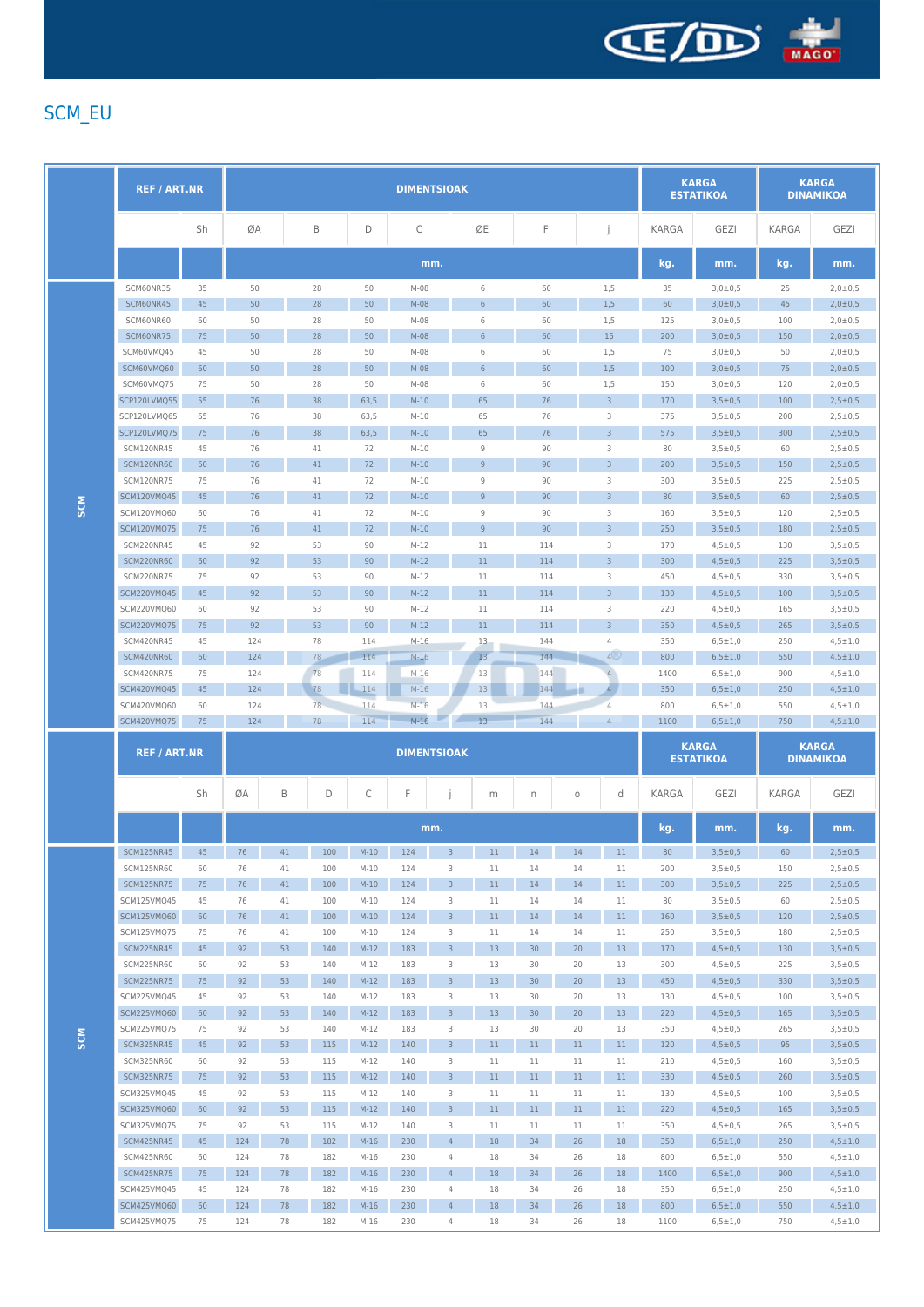

## SCM\_EU

|            | <b>REF / ART.NR</b>             |          | <b>DIMENTSIOAK</b> |          |            |                  |                  |                     |                   |                 |          | <b>KARGA</b><br><b>ESTATIKOA</b> |              | <b>KARGA</b><br><b>DINAMIKOA</b> |            |                                  |
|------------|---------------------------------|----------|--------------------|----------|------------|------------------|------------------|---------------------|-------------------|-----------------|----------|----------------------------------|--------------|----------------------------------|------------|----------------------------------|
|            |                                 | Sh       | ØA                 |          | B          | D                | С                |                     | ØE                | F               |          | j                                | KARGA        | <b>GEZI</b>                      | KARGA      | <b>GEZI</b>                      |
|            |                                 |          |                    |          |            |                  |                  | mm.                 |                   |                 |          |                                  | kg.          | mm.                              | kg.        | mm.                              |
|            | SCM60NR35                       | 35       | 50                 |          | 28         | 50               | $M-08$           |                     | 6                 | 60              |          | 1,5                              | 35           | $3,0\pm0,5$                      | 25         | $2,0 \pm 0.5$                    |
|            | SCM60NR45                       | 45       | 50                 |          | 28         | 50               | $M-08$           |                     | 6                 | 60              |          | 1,5                              | 60           | $3,0\pm0,5$                      | 45         | 2,0±0,5                          |
|            | SCM60NR60                       | 60       | 50                 |          | 28         | 50               | $M-08$           |                     | 6                 | 60              |          | 1,5                              | 125          | $3,0 \pm 0,5$                    | 100        | 2,0:0.5                          |
|            | SCM60NR75                       | 75       | 50                 |          | 28         | 50               | M-08             |                     | $6\,$             | 60              |          | 15                               | 200          | $3,0\pm0,5$                      | 150        | $2,0\pm0,5$                      |
|            | SCM60VMQ45                      | 45       | 50                 |          | 28         | 50               | M-08             |                     | 6                 | 60              |          | 1,5                              | 75           | $3,0\pm0,5$                      | 50         | $2,0 \pm 0,5$                    |
|            | SCM60VMQ60                      | 60       | 50                 |          | 28         | 50               | $M-08$           |                     | $6\,$             | 60              |          | 1,5                              | 100          | $3,0 \pm 0,5$                    | 75         | $2,0 \pm 0,5$                    |
|            | SCM60VMQ75                      | 75       | 50                 |          | 28         | 50               | M-08             |                     | 6                 | 60              |          | 1,5                              | 150          | 3,0:00,5                         | 120        | $2,0 \pm 0,5$                    |
| <b>SCM</b> | SCP120LVMQ55                    | 55       | 76                 |          | 38         | 63,5             | $M-10$           |                     | 65                | 76              |          | $\overline{3}$                   | 170          | $3,5 \pm 0,5$                    | 100        | $2,5 \pm 0,5$                    |
|            | SCP120LVMQ65                    | 65       | 76                 |          | 38         | 63,5             | $M-10$           |                     | 65                | 76              |          | 3                                | 375          | $3,5 \pm 0,5$                    | 200        | $2,5 \pm 0,5$                    |
|            | SCP120LVMQ75                    | 75       | 76<br>76           |          | 38         | 63,5<br>72       | $M-10$           |                     | 65<br>$\mathsf g$ | 76<br>90        |          | $\overline{3}$                   | 575          | $3,5 \pm 0,5$                    | 300        | $2,5 \pm 0,5$                    |
|            | SCM120NR45<br><b>SCM120NR60</b> | 45<br>60 | 76                 |          | 41<br>41   | 72               | $M-10$<br>$M-10$ |                     | 9                 | 90              |          | 3<br>$\overline{3}$              | 80<br>200    | $3,5 \pm 0,5$<br>$3,5 \pm 0.5$   | 60<br>150  | $2,5 \pm 0.5$<br>$2,5 \pm 0,5$   |
|            | <b>SCM120NR75</b>               | 75       | 76                 |          | 41         | 72               | $M-10$           |                     | 9                 | 90              |          | 3                                | 300          | $3,5 \pm 0.5$                    | 225        | $2,5 \pm 0.5$                    |
|            | SCM120VMQ45                     | 45       | 76                 |          | 41         | 72               | $M-10$           |                     | 9                 | 90              |          | $\overline{3}$                   | 80           | $3,5 \pm 0,5$                    | 60         | $2,5 \pm 0,5$                    |
|            | SCM120VMQ60                     | 60       | 76                 |          | 41         | 72               | $M-10$           |                     | 9                 | 90              |          | 3                                | 160          | $3.5 \pm 0.5$                    | 120        | $2,5 \pm 0.5$                    |
|            | SCM120VMQ75                     | 75       | 76                 |          | 41         | 72               | $M-10$           |                     | 9                 | 90              |          | $\overline{3}$                   | 250          | $3,5 \pm 0,5$                    | 180        | $2,5 \pm 0,5$                    |
|            | SCM220NR45                      | 45       | 92                 |          | 53         | 90               | $M-12$           |                     | 11                | 114             |          | 3                                | 170          | $4,5 \pm 0,5$                    | 130        | $3,5 \pm 0.5$                    |
|            | SCM220NR60                      | 60       | 92                 |          | 53         | 90               | $M-12$           |                     | 11                | 114             |          | $\mathsf 3$                      | 300          | $4,5 \pm 0,5$                    | 225        | $3,5 \pm 0,5$                    |
|            | <b>SCM220NR75</b>               | 75       | 92                 |          | 53         | 90               | $M-12$           |                     | 11                | 114             |          | 3                                | 450          | $4,5 \pm 0,5$                    | 330        | $3,5 \pm 0,5$                    |
|            | <b>SCM220VMQ45</b>              | 45       | 92                 |          | 53         | 90               | $M-12$           |                     | 11                | 114             |          | $\overline{3}$                   | 130          | $4,5 \pm 0,5$                    | 100        | $3,5 \pm 0,5$                    |
|            | SCM220VMO60                     | 60       | 92                 |          | 53         | 90               | $M-12$           |                     | 11                | 114             |          | 3                                | 220          | $4,5 \pm 0.5$                    | 165        | $3,5 \pm 0.5$                    |
|            | SCM220VMQ75                     | 75       | 92                 |          | 53         | 90               | $M-12$           |                     | 11                | 114             |          | $\overline{3}$                   | 350          | $4,5 \pm 0.5$                    | 265        | $3,5 \pm 0,5$                    |
|            | <b>SCM420NR45</b>               | 45       | 124                |          | 78         | 114              | $M-16$           |                     | 13                | 144             |          | 4                                | 350          | $6,5 \pm 1,0$                    | 250        | $4,5 \pm 1,0$                    |
|            | SCM420NR60                      | 60       | 124                |          | 78         | 114              | $M-16$           |                     | 13                | 144             |          | 4 <sup>1</sup>                   | 800          | $6,5{\pm}1,0$                    | 550        | $4,5 \pm 1,0$                    |
|            | <b>SCM420NR75</b>               | 75       | 124                |          | 78         | 114              | $M-16$           |                     | 13                | 144             |          | $\overline{4}$                   | 1400         | $6,5 \pm 1,0$                    | 900        | $4,5 \pm 1,0$                    |
|            | SCM420VMQ45                     | 45       | 124                |          | 78         | 114              | $M-16$           |                     | 13                | 144             |          | $\overline{4}$                   | 350          | $6,5{\pm}1,0$                    | 250        | $4,5 \pm 1,0$                    |
|            | SCM420VMQ60                     | 60       | 124                |          | 78         | 114              |                  |                     |                   | 144             |          |                                  |              |                                  |            |                                  |
|            |                                 |          |                    |          |            |                  | $M-16$           |                     | 13                |                 |          | 4                                | 800          | $6,5 \pm 1,0$                    | 550        | $4,5 \pm 1,0$                    |
|            | SCM420VMQ75                     | 75       | 124                |          | 78         | 114              | $M-16$           |                     | 13                | 144             |          | $\overline{4}$                   | 1100         | $6,5 \pm 1,0$                    | 750        | $4,5 \pm 1,0$                    |
|            | <b>REF / ART.NR</b>             |          |                    |          |            |                  |                  | <b>DIMENTSIOAK</b>  |                   |                 |          |                                  |              | <b>KARGA</b><br><b>ESTATIKOA</b> |            | <b>KARGA</b><br><b>DINAMIKOA</b> |
|            |                                 | Sh       | ØA                 | B        | D          | С                | F                |                     | m                 | n               | $\circ$  | d                                | <b>KARGA</b> | <b>GEZI</b>                      | KARGA      | <b>GEZI</b>                      |
|            |                                 |          |                    |          |            |                  |                  | mm.                 |                   |                 |          |                                  | kg.          | mm.                              | kg.        | mm.                              |
|            | <b>SCM125NR45</b>               | 45       | 76                 | 41       | 100        | $M-10$           | 124              | $\overline{3}$      | 11                | 14              | 14       | 11                               | 80           | $3,5 \pm 0,5$                    | 60         | $2,5 \pm 0.5$                    |
|            | SCM125NR60                      | 60       | 76                 | 41       | 100        | $M-10$           | 124              | 3                   | 11                | 14              | 14       | 11                               | 200          | $3,5 \pm 0,5$                    | 150        | $2,5 + 0,5$                      |
|            | <b>SCM125NR75</b>               | 75       | 76                 | 41       | 100        | $M-10$           | 124              | $\mathbf{3}$        | 11                | 14              | 14       | $11$                             | 300          | $3,5 \pm 0,5$                    | 225        | $2,5 \pm 0,5$                    |
|            | SCM125VMQ45                     | 45       | 76                 | $41\,$   | 100        | $M-10$           | 124              | 3                   | $11$              | 14              | 14       | 11                               | 80           | $3,5 \pm 0,5$                    | 60         | $2,5 \pm 0,5$                    |
|            | SCM125VMQ60                     | 60       | 76                 | 41       | 100        | $M-10$           | 124              | $\overline{3}$      | 11                | 14              | 14       | 11                               | 160          | $3,5 \pm 0,5$                    | 120        | $2,5 \pm 0,5$                    |
|            | SCM125VMQ75                     | 75       | 76                 | 41       | 100        | $M-10$           | 124              | 3                   | $11$              | 14              | 14       | 11                               | 250          | $3,5 \pm 0,5$                    | 180        | $2,5 \pm 0,5$                    |
|            | SCM225NR45                      | 45       | 92                 | 53       | 140        | $M-12$           | 183              | $\mathbf{3}$        | 13                | 30              | 20       | 13                               | 170          | $4,5 \pm 0,5$                    | 130        | $3,5 \pm 0,5$                    |
|            | SCM225NR60                      | 60       | 92                 | 53       | 140        | $M-12$           | 183              | 3                   | 13                | 30              | 20       | 13                               | 300          | $4,5 \pm 0,5$                    | 225        | $3,5 \pm 0,5$                    |
|            | SCM225NR75                      | 75       | 92                 | 53       | 140        | $M-12$           | 183              | $\overline{3}$      | 13                | 30 <sup>°</sup> | 20       | 13                               | 450          | $4,5 \pm 0,5$                    | 330        | $3,5 \pm 0,5$                    |
|            | SCM225VMQ45                     | 45       | 92                 | 53       | 140        | $M-12$           | 183              | 3                   | 13                | 30              | 20       | 13                               | 130          | $4,5 \pm 0,5$                    | 100        | $3,5 \pm 0,5$                    |
|            | SCM225VMQ60                     | 60       | 92                 | 53       | 140        | $M-12$           | 183              | $\overline{3}$      | 13                | 30 <sup>°</sup> | 20       | 13                               | 220          | $4,5 \pm 0,5$                    | 165        | $3,5 \pm 0,5$                    |
|            | SCM225VMQ75                     | 75       | 92                 | 53       | 140        | $M-12$           | 183              | 3                   | 13                | 30              | 20       | 13                               | 350          | $4,5 \pm 0,5$                    | 265        | $3,5 \pm 0,5$                    |
| <b>SCM</b> | SCM325NR45                      | 45       | 92                 | 53       | 115        | $M-12$           | 140              | $\mathbf{3}$        | $11\,$            | 11              | $11\,$   | $11\,$                           | 120          | $4,5 \pm 0,5$                    | 95         | $3,5 \pm 0,5$                    |
|            | SCM325NR60                      | 60       | 92                 | 53       | 115        | $M-12$           | 140              | 3                   | $11$              | $11$            | 11       | 11                               | 210          | $4,5 \pm 0,5$                    | 160        | $3,5 \pm 0,5$                    |
|            | <b>SCM325NR75</b>               | 75       | 92                 | 53       | 115        | $M-12$           | 140              | $\overline{3}$      | 11                | $11\,$          | 11       | 11                               | 330          | $4,5 \pm 0,5$                    | 260        | $3,5 \pm 0,5$                    |
|            | SCM325VMQ45                     | 45       | 92                 | 53       | 115        | $M-12$           | 140              | 3                   | 11                | 11              | 11       | 11                               | 130          | $4,5 \pm 0,5$                    | 100        | $3,5 \pm 0,5$                    |
|            | SCM325VMQ60<br>SCM325VMQ75      | 60<br>75 | 92<br>92           | 53<br>53 | 115<br>115 | $M-12$<br>$M-12$ | 140<br>140       | $\overline{3}$<br>3 | 11<br>11          | 11<br>$11\,$    | 11<br>11 | $11\,$<br>11                     | 220<br>350   | $4,5 \pm 0,5$<br>$4,5 \pm 0,5$   | 165<br>265 | $3,5 \pm 0,5$<br>$3,5 \pm 0,5$   |
|            | SCM425NR45                      | 45       | 124                | 78       | 182        | $M-16$           | 230              | $\overline{4}$      | 18                | 34              | 26       | $18\,$                           | 350          | $6,5 \pm 1,0$                    | 250        | $4,5 \pm 1,0$                    |
|            | SCM425NR60                      | 60       | 124                | 78       | 182        | $M-16$           | 230              | $\overline{4}$      | 18                | 34              | 26       | 18                               | 800          | $6,5 \pm 1,0$                    | 550        | $4,5 \pm 1,0$                    |
|            | SCM425NR75                      | 75       | 124                | 78       | 182        | $M-16$           | 230              | $\overline{4}$      | 18                | 34              | 26       | $18\,$                           | 1400         | $6,5 \pm 1,0$                    | 900        | $4,5 \pm 1,0$                    |
|            | SCM425VMQ45                     | 45       | 124                | 78       | 182        | $M-16$           | 230              | $\overline{4}$      | 18                | 34              | 26       | 18                               | 350          | $6,5 \pm 1,0$                    | 250        | $4,5 \pm 1,0$                    |
|            | SCM425VMQ60                     | 60       | 124                | 78       | 182        | $M-16$           | 230              | $\overline{4}$      | 18                | 34              | 26       | 18                               | 800          | $6,5{\pm}1,0$                    | 550        | $4,5 \pm 1,0$                    |